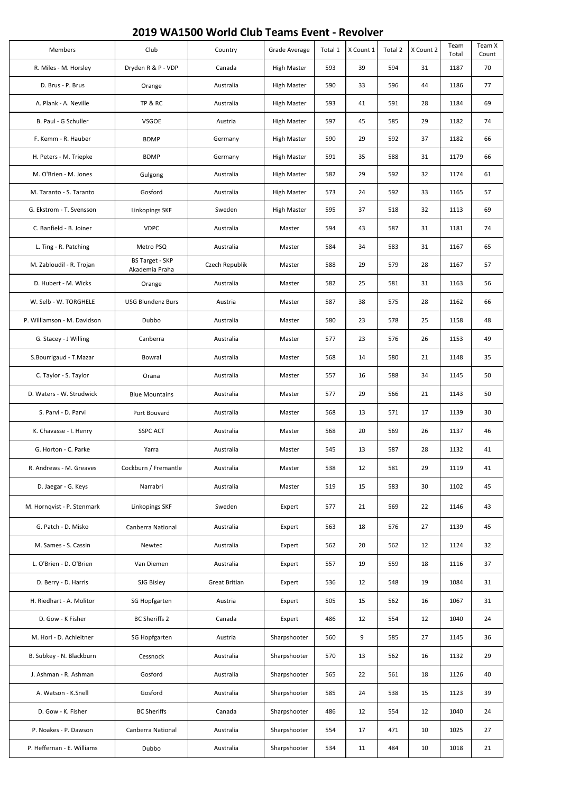## **2019 WA1500 World Club Teams Event - Revolver**

|  | Members                     | Club                                     | Country              | Grade Average      | Total 1 | X Count 1 | Total 2 | X Count 2 | Team<br>Total | Team X<br>Count |
|--|-----------------------------|------------------------------------------|----------------------|--------------------|---------|-----------|---------|-----------|---------------|-----------------|
|  | R. Miles - M. Horsley       | Dryden R & P - VDP                       | Canada               | <b>High Master</b> | 593     | 39        | 594     | 31        | 1187          | 70              |
|  | D. Brus - P. Brus           | Orange                                   | Australia            | <b>High Master</b> | 590     | 33        | 596     | 44        | 1186          | 77              |
|  | A. Plank - A. Neville       | TP & RC                                  | Australia            | <b>High Master</b> | 593     | 41        | 591     | 28        | 1184          | 69              |
|  | B. Paul - G Schuller        | <b>VSGOE</b>                             | Austria              | <b>High Master</b> | 597     | 45        | 585     | 29        | 1182          | 74              |
|  | F. Kemm - R. Hauber         | <b>BDMP</b>                              | Germany              | <b>High Master</b> | 590     | 29        | 592     | 37        | 1182          | 66              |
|  | H. Peters - M. Triepke      | <b>BDMP</b>                              | Germany              | <b>High Master</b> | 591     | 35        | 588     | 31        | 1179          | 66              |
|  | M. O'Brien - M. Jones       | Gulgong                                  | Australia            | <b>High Master</b> | 582     | 29        | 592     | 32        | 1174          | 61              |
|  | M. Taranto - S. Taranto     | Gosford                                  | Australia            | <b>High Master</b> | 573     | 24        | 592     | 33        | 1165          | 57              |
|  | G. Ekstrom - T. Svensson    | Linkopings SKF                           | Sweden               | <b>High Master</b> | 595     | 37        | 518     | 32        | 1113          | 69              |
|  | C. Banfield - B. Joiner     | <b>VDPC</b>                              | Australia            | Master             | 594     | 43        | 587     | 31        | 1181          | 74              |
|  | L. Ting - R. Patching       | Metro PSQ                                | Australia            | Master             | 584     | 34        | 583     | 31        | 1167          | 65              |
|  | M. Zabloudil - R. Trojan    | <b>BS Target - SKP</b><br>Akademia Praha | Czech Republik       | Master             | 588     | 29        | 579     | 28        | 1167          | 57              |
|  | D. Hubert - M. Wicks        | Orange                                   | Australia            | Master             | 582     | 25        | 581     | 31        | 1163          | 56              |
|  | W. Selb - W. TORGHELE       | <b>USG Blundenz Burs</b>                 | Austria              | Master             | 587     | 38        | 575     | 28        | 1162          | 66              |
|  | P. Williamson - M. Davidson | Dubbo                                    | Australia            | Master             | 580     | 23        | 578     | 25        | 1158          | 48              |
|  | G. Stacey - J Willing       | Canberra                                 | Australia            | Master             | 577     | 23        | 576     | 26        | 1153          | 49              |
|  | S.Bourrigaud - T.Mazar      | Bowral                                   | Australia            | Master             | 568     | 14        | 580     | 21        | 1148          | 35              |
|  | C. Taylor - S. Taylor       | Orana                                    | Australia            | Master             | 557     | 16        | 588     | 34        | 1145          | 50              |
|  | D. Waters - W. Strudwick    | <b>Blue Mountains</b>                    | Australia            | Master             | 577     | 29        | 566     | 21        | 1143          | 50              |
|  | S. Parvi - D. Parvi         | Port Bouvard                             | Australia            | Master             | 568     | 13        | 571     | 17        | 1139          | 30              |
|  | K. Chavasse - I. Henry      | <b>SSPC ACT</b>                          | Australia            | Master             | 568     | 20        | 569     | 26        | 1137          | 46              |
|  | G. Horton - C. Parke        | Yarra                                    | Australia            | Master             | 545     | 13        | 587     | 28        | 1132          | 41              |
|  | R. Andrews - M. Greaves     | Cockburn / Fremantle                     | Australia            | Master             | 538     | 12        | 581     | 29        | 1119          | 41              |
|  | D. Jaegar - G. Keys         | Narrabri                                 | Australia            | Master             | 519     | 15        | 583     | 30        | 1102          | 45              |
|  | M. Hornqvist - P. Stenmark  | Linkopings SKF                           | Sweden               | Expert             | 577     | 21        | 569     | 22        | 1146          | 43              |
|  | G. Patch - D. Misko         | Canberra National                        | Australia            | Expert             | 563     | 18        | 576     | 27        | 1139          | 45              |
|  | M. Sames - S. Cassin        | Newtec                                   | Australia            | Expert             | 562     | 20        | 562     | 12        | 1124          | 32              |
|  | L. O'Brien - D. O'Brien     | Van Diemen                               | Australia            | Expert             | 557     | 19        | 559     | 18        | 1116          | 37              |
|  | D. Berry - D. Harris        | SJG Bisley                               | <b>Great Britian</b> | Expert             | 536     | 12        | 548     | 19        | 1084          | 31              |
|  | H. Riedhart - A. Molitor    | SG Hopfgarten                            | Austria              | Expert             | 505     | 15        | 562     | 16        | 1067          | 31              |
|  | D. Gow - K Fisher           | <b>BC Sheriffs 2</b>                     | Canada               | Expert             | 486     | 12        | 554     | 12        | 1040          | 24              |
|  | M. Horl - D. Achleitner     | SG Hopfgarten                            | Austria              | Sharpshooter       | 560     | 9         | 585     | 27        | 1145          | 36              |
|  | B. Subkey - N. Blackburn    | Cessnock                                 | Australia            | Sharpshooter       | 570     | 13        | 562     | 16        | 1132          | 29              |
|  | J. Ashman - R. Ashman       | Gosford                                  | Australia            | Sharpshooter       | 565     | 22        | 561     | 18        | 1126          | 40              |
|  | A. Watson - K.Snell         | Gosford                                  | Australia            | Sharpshooter       | 585     | 24        | 538     | 15        | 1123          | 39              |
|  | D. Gow - K. Fisher          | <b>BC Sheriffs</b>                       | Canada               | Sharpshooter       | 486     | 12        | 554     | 12        | 1040          | 24              |
|  | P. Noakes - P. Dawson       | Canberra National                        | Australia            | Sharpshooter       | 554     | 17        | 471     | 10        | 1025          | 27              |
|  | P. Heffernan - E. Williams  | Dubbo                                    | Australia            | Sharpshooter       | 534     | 11        | 484     | 10        | 1018          | 21              |
|  |                             |                                          |                      |                    |         |           |         |           |               |                 |